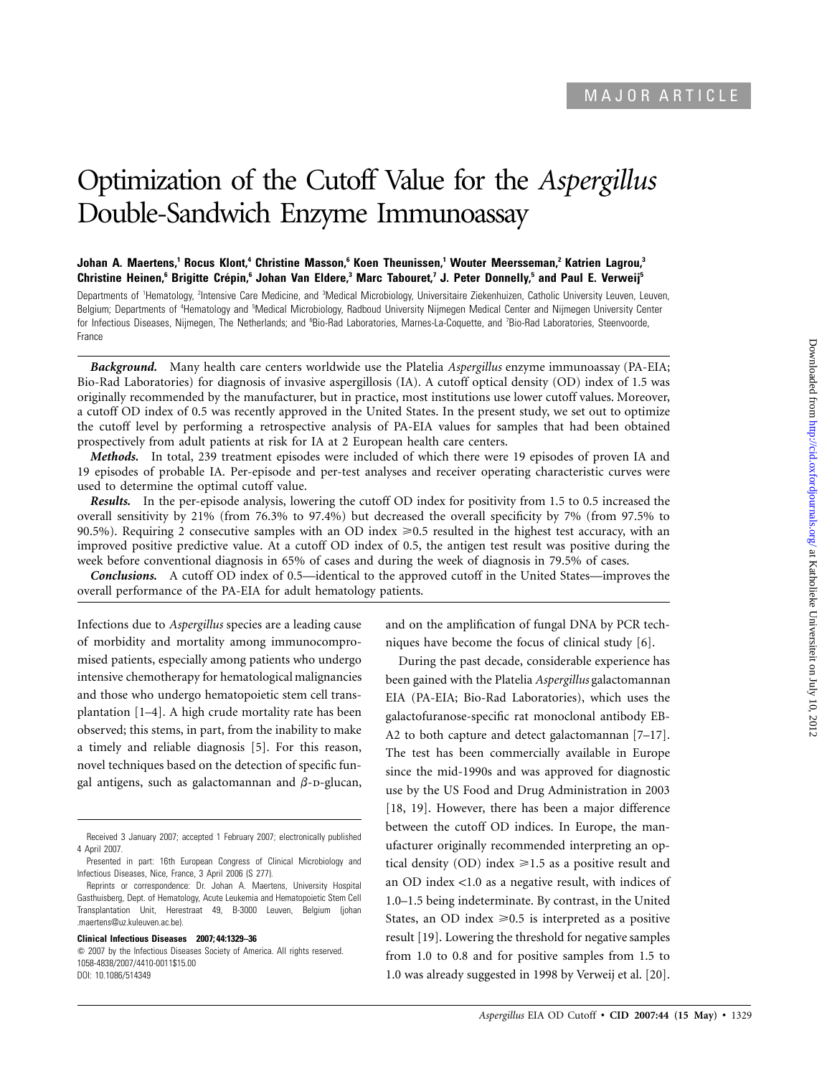# Optimization of the Cutoff Value for the *Aspergillus* Double-Sandwich Enzyme Immunoassay

## **Johan A. Maertens,1 Rocus Klont,4 Christine Masson,6 Koen Theunissen,1 Wouter Meersseman,2 Katrien Lagrou,3 Christine Heinen,<sup>6</sup> Brigitte Crépin,<sup>6</sup> Johan Van Eldere,<sup>3</sup> Marc Tabouret,<sup>7</sup> J. Peter Donnelly,<sup>5</sup> and Paul E. Verweij<sup>5</sup>**

Departments of <sup>1</sup>Hematology, <sup>2</sup>Intensive Care Medicine, and <sup>a</sup>Medical Microbiology, Universitaire Ziekenhuizen, Catholic University Leuven, Leuven, Belgium; Departments of <sup>4</sup>Hematology and <sup>5</sup>Medical Microbiology, Radboud University Nijmegen Medical Center and Nijmegen University Center for Infectious Diseases, Nijmegen, The Netherlands; and <sup>6</sup>Bio-Rad Laboratories, Marnes-La-Coquette, and 7Bio-Rad Laboratories, Steenvoorde, France

*Background.* Many health care centers worldwide use the Platelia *Aspergillus* enzyme immunoassay (PA-EIA; Bio-Rad Laboratories) for diagnosis of invasive aspergillosis (IA). A cutoff optical density (OD) index of 1.5 was originally recommended by the manufacturer, but in practice, most institutions use lower cutoff values. Moreover, a cutoff OD index of 0.5 was recently approved in the United States. In the present study, we set out to optimize the cutoff level by performing a retrospective analysis of PA-EIA values for samples that had been obtained prospectively from adult patients at risk for IA at 2 European health care centers.

*Methods.* In total, 239 treatment episodes were included of which there were 19 episodes of proven IA and 19 episodes of probable IA. Per-episode and per-test analyses and receiver operating characteristic curves were used to determine the optimal cutoff value.

*Results.* In the per-episode analysis, lowering the cutoff OD index for positivity from 1.5 to 0.5 increased the overall sensitivity by 21% (from 76.3% to 97.4%) but decreased the overall specificity by 7% (from 97.5% to 90.5%). Requiring 2 consecutive samples with an OD index  $\geq 0.5$  resulted in the highest test accuracy, with an improved positive predictive value. At a cutoff OD index of 0.5, the antigen test result was positive during the week before conventional diagnosis in 65% of cases and during the week of diagnosis in 79.5% of cases.

*Conclusions.* A cutoff OD index of 0.5—identical to the approved cutoff in the United States—improves the overall performance of the PA-EIA for adult hematology patients.

Infections due to *Aspergillus* species are a leading cause of morbidity and mortality among immunocompromised patients, especially among patients who undergo intensive chemotherapy for hematological malignancies and those who undergo hematopoietic stem cell transplantation [1–4]. A high crude mortality rate has been observed; this stems, in part, from the inability to make a timely and reliable diagnosis [5]. For this reason, novel techniques based on the detection of specific fungal antigens, such as galactomannan and  $\beta$ -D-glucan,

#### **Clinical Infectious Diseases 2007; 44:1329–36**

 $\odot$  2007 by the Infectious Diseases Society of America. All rights reserved. 1058-4838/2007/4410-0011\$15.00 DOI: 10.1086/514349

and on the amplification of fungal DNA by PCR techniques have become the focus of clinical study [6].

During the past decade, considerable experience has been gained with the Platelia *Aspergillus* galactomannan EIA (PA-EIA; Bio-Rad Laboratories), which uses the galactofuranose-specific rat monoclonal antibody EB-A2 to both capture and detect galactomannan [7–17]. The test has been commercially available in Europe since the mid-1990s and was approved for diagnostic use by the US Food and Drug Administration in 2003 [18, 19]. However, there has been a major difference between the cutoff OD indices. In Europe, the manufacturer originally recommended interpreting an optical density (OD) index  $\ge 1.5$  as a positive result and an OD index  $<$ 1.0 as a negative result, with indices of 1.0–1.5 being indeterminate. By contrast, in the United States, an OD index  $\geq 0.5$  is interpreted as a positive result [19]. Lowering the threshold for negative samples from 1.0 to 0.8 and for positive samples from 1.5 to 1.0 was already suggested in 1998 by Verweij et al. [20].

Received 3 January 2007; accepted 1 February 2007; electronically published 4 April 2007.

Presented in part: 16th European Congress of Clinical Microbiology and Infectious Diseases, Nice, France, 3 April 2006 (S 277).

Reprints or correspondence: Dr. Johan A. Maertens, University Hospital Gasthuisberg, Dept. of Hematology, Acute Leukemia and Hematopoietic Stem Cell Transplantation Unit, Herestraat 49, B-3000 Leuven, Belgium (johan .maertens@uz.kuleuven.ac.be).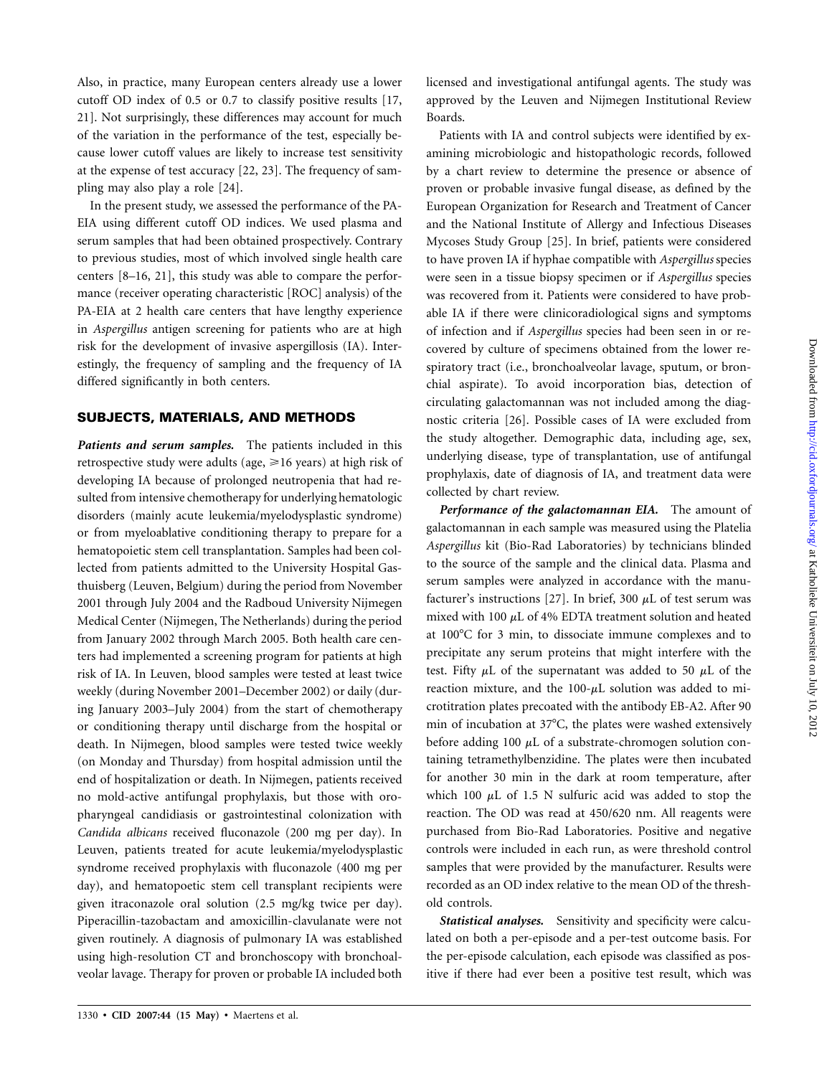Also, in practice, many European centers already use a lower cutoff OD index of 0.5 or 0.7 to classify positive results [17, 21]. Not surprisingly, these differences may account for much of the variation in the performance of the test, especially because lower cutoff values are likely to increase test sensitivity at the expense of test accuracy [22, 23]. The frequency of sampling may also play a role [24].

In the present study, we assessed the performance of the PA-EIA using different cutoff OD indices. We used plasma and serum samples that had been obtained prospectively. Contrary to previous studies, most of which involved single health care centers [8–16, 21], this study was able to compare the performance (receiver operating characteristic [ROC] analysis) of the PA-EIA at 2 health care centers that have lengthy experience in *Aspergillus* antigen screening for patients who are at high risk for the development of invasive aspergillosis (IA). Interestingly, the frequency of sampling and the frequency of IA differed significantly in both centers.

## **SUBJECTS, MATERIALS, AND METHODS**

*Patients and serum samples.* The patients included in this retrospective study were adults (age,  $\geq 16$  years) at high risk of developing IA because of prolonged neutropenia that had resulted from intensive chemotherapy for underlying hematologic disorders (mainly acute leukemia/myelodysplastic syndrome) or from myeloablative conditioning therapy to prepare for a hematopoietic stem cell transplantation. Samples had been collected from patients admitted to the University Hospital Gasthuisberg (Leuven, Belgium) during the period from November 2001 through July 2004 and the Radboud University Nijmegen Medical Center (Nijmegen, The Netherlands) during the period from January 2002 through March 2005. Both health care centers had implemented a screening program for patients at high risk of IA. In Leuven, blood samples were tested at least twice weekly (during November 2001–December 2002) or daily (during January 2003–July 2004) from the start of chemotherapy or conditioning therapy until discharge from the hospital or death. In Nijmegen, blood samples were tested twice weekly (on Monday and Thursday) from hospital admission until the end of hospitalization or death. In Nijmegen, patients received no mold-active antifungal prophylaxis, but those with oropharyngeal candidiasis or gastrointestinal colonization with *Candida albicans* received fluconazole (200 mg per day). In Leuven, patients treated for acute leukemia/myelodysplastic syndrome received prophylaxis with fluconazole (400 mg per day), and hematopoetic stem cell transplant recipients were given itraconazole oral solution (2.5 mg/kg twice per day). Piperacillin-tazobactam and amoxicillin-clavulanate were not given routinely. A diagnosis of pulmonary IA was established using high-resolution CT and bronchoscopy with bronchoalveolar lavage. Therapy for proven or probable IA included both

licensed and investigational antifungal agents. The study was approved by the Leuven and Nijmegen Institutional Review Boards.

Patients with IA and control subjects were identified by examining microbiologic and histopathologic records, followed by a chart review to determine the presence or absence of proven or probable invasive fungal disease, as defined by the European Organization for Research and Treatment of Cancer and the National Institute of Allergy and Infectious Diseases Mycoses Study Group [25]. In brief, patients were considered to have proven IA if hyphae compatible with *Aspergillus* species were seen in a tissue biopsy specimen or if *Aspergillus* species was recovered from it. Patients were considered to have probable IA if there were clinicoradiological signs and symptoms of infection and if *Aspergillus* species had been seen in or recovered by culture of specimens obtained from the lower respiratory tract (i.e., bronchoalveolar lavage, sputum, or bronchial aspirate). To avoid incorporation bias, detection of circulating galactomannan was not included among the diagnostic criteria [26]. Possible cases of IA were excluded from the study altogether. Demographic data, including age, sex, underlying disease, type of transplantation, use of antifungal prophylaxis, date of diagnosis of IA, and treatment data were collected by chart review.

*Performance of the galactomannan EIA.* The amount of galactomannan in each sample was measured using the Platelia *Aspergillus* kit (Bio-Rad Laboratories) by technicians blinded to the source of the sample and the clinical data. Plasma and serum samples were analyzed in accordance with the manufacturer's instructions [27]. In brief, 300  $\mu$ L of test serum was mixed with 100  $\mu$ L of 4% EDTA treatment solution and heated at 100°C for 3 min, to dissociate immune complexes and to precipitate any serum proteins that might interfere with the test. Fifty  $\mu$ L of the supernatant was added to 50  $\mu$ L of the reaction mixture, and the  $100-\mu L$  solution was added to microtitration plates precoated with the antibody EB-A2. After 90 min of incubation at  $37^{\circ}$ C, the plates were washed extensively before adding 100  $\mu$ L of a substrate-chromogen solution containing tetramethylbenzidine. The plates were then incubated for another 30 min in the dark at room temperature, after which 100  $\mu$ L of 1.5 N sulfuric acid was added to stop the reaction. The OD was read at 450/620 nm. All reagents were purchased from Bio-Rad Laboratories. Positive and negative controls were included in each run, as were threshold control samples that were provided by the manufacturer. Results were recorded as an OD index relative to the mean OD of the threshold controls.

*Statistical analyses.* Sensitivity and specificity were calculated on both a per-episode and a per-test outcome basis. For the per-episode calculation, each episode was classified as positive if there had ever been a positive test result, which was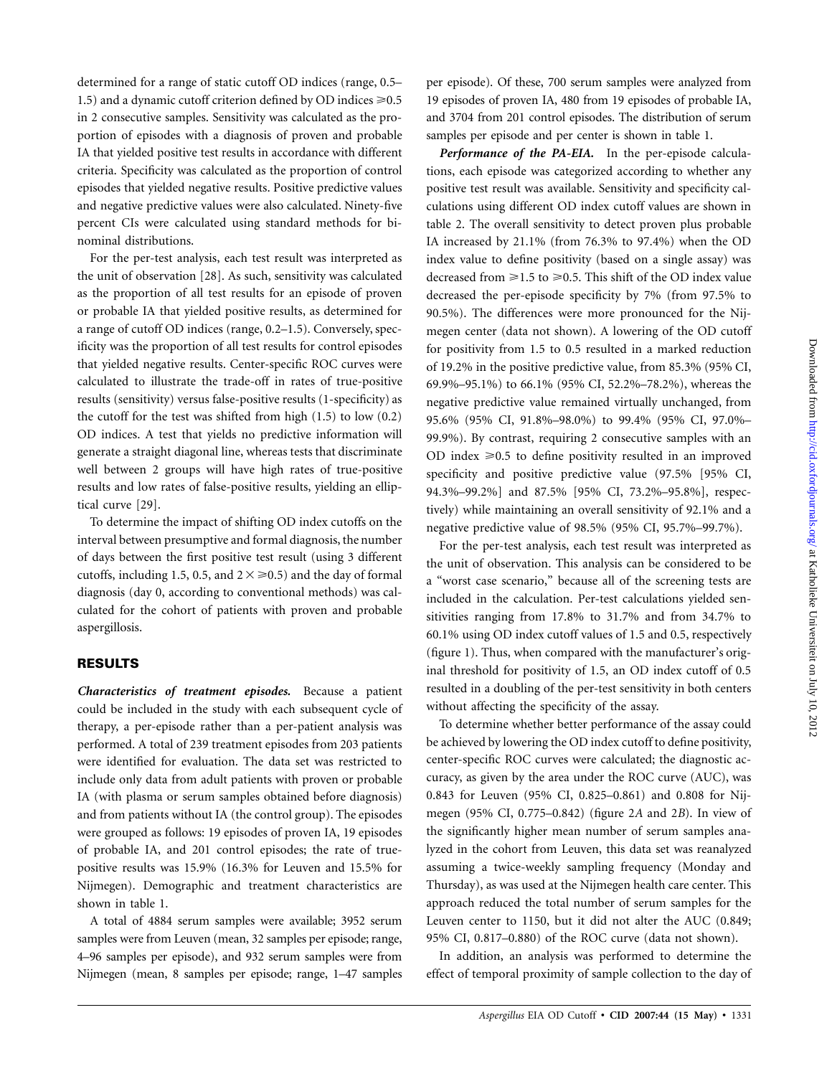determined for a range of static cutoff OD indices (range, 0.5– 1.5) and a dynamic cutoff criterion defined by OD indices  $\geq 0.5$ in 2 consecutive samples. Sensitivity was calculated as the proportion of episodes with a diagnosis of proven and probable IA that yielded positive test results in accordance with different criteria. Specificity was calculated as the proportion of control episodes that yielded negative results. Positive predictive values and negative predictive values were also calculated. Ninety-five percent CIs were calculated using standard methods for binominal distributions.

For the per-test analysis, each test result was interpreted as the unit of observation [28]. As such, sensitivity was calculated as the proportion of all test results for an episode of proven or probable IA that yielded positive results, as determined for a range of cutoff OD indices (range, 0.2–1.5). Conversely, specificity was the proportion of all test results for control episodes that yielded negative results. Center-specific ROC curves were calculated to illustrate the trade-off in rates of true-positive results (sensitivity) versus false-positive results (1-specificity) as the cutoff for the test was shifted from high (1.5) to low (0.2) OD indices. A test that yields no predictive information will generate a straight diagonal line, whereas tests that discriminate well between 2 groups will have high rates of true-positive results and low rates of false-positive results, yielding an elliptical curve [29].

To determine the impact of shifting OD index cutoffs on the interval between presumptive and formal diagnosis, the number of days between the first positive test result (using 3 different cutoffs, including 1.5, 0.5, and  $2 \times \ge 0.5$ ) and the day of formal diagnosis (day 0, according to conventional methods) was calculated for the cohort of patients with proven and probable aspergillosis.

# **RESULTS**

*Characteristics of treatment episodes.* Because a patient could be included in the study with each subsequent cycle of therapy, a per-episode rather than a per-patient analysis was performed. A total of 239 treatment episodes from 203 patients were identified for evaluation. The data set was restricted to include only data from adult patients with proven or probable IA (with plasma or serum samples obtained before diagnosis) and from patients without IA (the control group). The episodes were grouped as follows: 19 episodes of proven IA, 19 episodes of probable IA, and 201 control episodes; the rate of truepositive results was 15.9% (16.3% for Leuven and 15.5% for Nijmegen). Demographic and treatment characteristics are shown in table 1.

A total of 4884 serum samples were available; 3952 serum samples were from Leuven (mean, 32 samples per episode; range, 4–96 samples per episode), and 932 serum samples were from Nijmegen (mean, 8 samples per episode; range, 1–47 samples per episode). Of these, 700 serum samples were analyzed from 19 episodes of proven IA, 480 from 19 episodes of probable IA, and 3704 from 201 control episodes. The distribution of serum samples per episode and per center is shown in table 1.

*Performance of the PA-EIA.* In the per-episode calculations, each episode was categorized according to whether any positive test result was available. Sensitivity and specificity calculations using different OD index cutoff values are shown in table 2. The overall sensitivity to detect proven plus probable IA increased by 21.1% (from 76.3% to 97.4%) when the OD index value to define positivity (based on a single assay) was decreased from  $\geq 1.5$  to  $\geq 0.5$ . This shift of the OD index value decreased the per-episode specificity by 7% (from 97.5% to 90.5%). The differences were more pronounced for the Nijmegen center (data not shown). A lowering of the OD cutoff for positivity from 1.5 to 0.5 resulted in a marked reduction of 19.2% in the positive predictive value, from 85.3% (95% CI, 69.9%–95.1%) to 66.1% (95% CI, 52.2%–78.2%), whereas the negative predictive value remained virtually unchanged, from 95.6% (95% CI, 91.8%–98.0%) to 99.4% (95% CI, 97.0%– 99.9%). By contrast, requiring 2 consecutive samples with an OD index  $\geq 0.5$  to define positivity resulted in an improved specificity and positive predictive value (97.5% [95% CI, 94.3%–99.2%] and 87.5% [95% CI, 73.2%–95.8%], respectively) while maintaining an overall sensitivity of 92.1% and a negative predictive value of 98.5% (95% CI, 95.7%–99.7%).

For the per-test analysis, each test result was interpreted as the unit of observation. This analysis can be considered to be a "worst case scenario," because all of the screening tests are included in the calculation. Per-test calculations yielded sensitivities ranging from 17.8% to 31.7% and from 34.7% to 60.1% using OD index cutoff values of 1.5 and 0.5, respectively (figure 1). Thus, when compared with the manufacturer's original threshold for positivity of 1.5, an OD index cutoff of 0.5 resulted in a doubling of the per-test sensitivity in both centers without affecting the specificity of the assay.

To determine whether better performance of the assay could be achieved by lowering the OD index cutoff to define positivity, center-specific ROC curves were calculated; the diagnostic accuracy, as given by the area under the ROC curve (AUC), was 0.843 for Leuven (95% CI, 0.825–0.861) and 0.808 for Nijmegen (95% CI, 0.775–0.842) (figure 2*A* and 2*B*). In view of the significantly higher mean number of serum samples analyzed in the cohort from Leuven, this data set was reanalyzed assuming a twice-weekly sampling frequency (Monday and Thursday), as was used at the Nijmegen health care center. This approach reduced the total number of serum samples for the Leuven center to 1150, but it did not alter the AUC (0.849; 95% CI, 0.817–0.880) of the ROC curve (data not shown).

In addition, an analysis was performed to determine the effect of temporal proximity of sample collection to the day of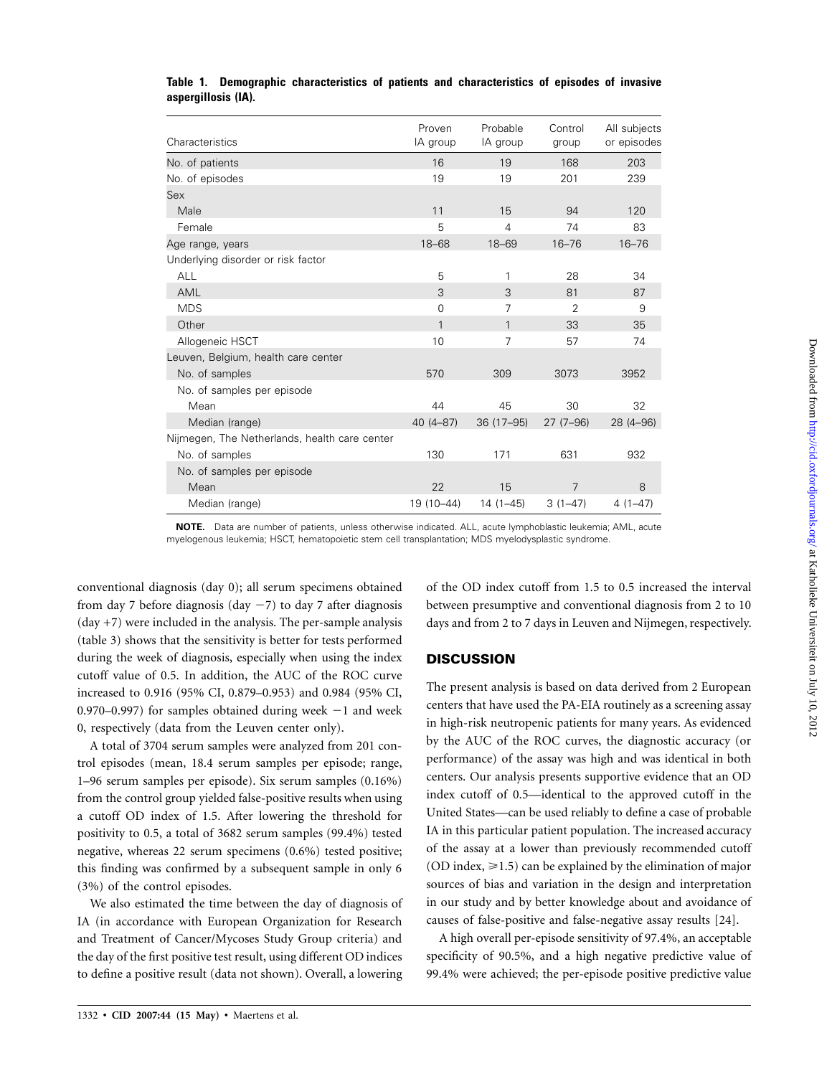| Characteristics                               | Proven<br>IA group | Probable<br>IA group | Control<br>group | All subjects<br>or episodes |
|-----------------------------------------------|--------------------|----------------------|------------------|-----------------------------|
| No. of patients                               | 16                 | 19                   | 168              | 203                         |
| No. of episodes                               | 19                 | 19                   | 201              | 239                         |
| Sex                                           |                    |                      |                  |                             |
| Male                                          | 11                 | 15                   | 94               | 120                         |
| Female                                        | 5                  | 4                    | 74               | 83                          |
| Age range, years                              | $18 - 68$          | $18 - 69$            | $16 - 76$        | $16 - 76$                   |
| Underlying disorder or risk factor            |                    |                      |                  |                             |
| <b>ALL</b>                                    | 5                  | 1                    | 28               | 34                          |
| AML                                           | 3                  | 3                    | 81               | 87                          |
| <b>MDS</b>                                    | 0                  | 7                    | $\overline{2}$   | 9                           |
| Other                                         | 1                  | 1                    | 33               | 35                          |
| Allogeneic HSCT                               | 10                 | 7                    | 57               | 74                          |
| Leuven, Belgium, health care center           |                    |                      |                  |                             |
| No. of samples                                | 570                | 309                  | 3073             | 3952                        |
| No. of samples per episode                    |                    |                      |                  |                             |
| Mean                                          | 44                 | 45                   | 30               | 32                          |
| Median (range)                                | $40(4 - 87)$       | 36 (17-95)           | $27(7-96)$       | 28 (4-96)                   |
| Nijmegen, The Netherlands, health care center |                    |                      |                  |                             |
| No. of samples                                | 130                | 171                  | 631              | 932                         |
| No. of samples per episode                    |                    |                      |                  |                             |
| Mean                                          | 22                 | 15                   | 7                | 8                           |
| Median (range)                                | 19 (10-44)         | 14 (1-45)            | $3(1-47)$        | $4(1-47)$                   |

# **Table 1. Demographic characteristics of patients and characteristics of episodes of invasive aspergillosis (IA).**

**NOTE.** Data are number of patients, unless otherwise indicated. ALL, acute lymphoblastic leukemia; AML, acute myelogenous leukemia; HSCT, hematopoietic stem cell transplantation; MDS myelodysplastic syndrome.

conventional diagnosis (day 0); all serum specimens obtained from day 7 before diagnosis (day -7) to day 7 after diagnosis  $(\text{day} + 7)$  were included in the analysis. The per-sample analysis (table 3) shows that the sensitivity is better for tests performed during the week of diagnosis, especially when using the index cutoff value of 0.5. In addition, the AUC of the ROC curve increased to 0.916 (95% CI, 0.879–0.953) and 0.984 (95% CI,  $0.970-0.997$ ) for samples obtained during week  $-1$  and week 0, respectively (data from the Leuven center only).

A total of 3704 serum samples were analyzed from 201 control episodes (mean, 18.4 serum samples per episode; range, 1–96 serum samples per episode). Six serum samples (0.16%) from the control group yielded false-positive results when using a cutoff OD index of 1.5. After lowering the threshold for positivity to 0.5, a total of 3682 serum samples (99.4%) tested negative, whereas 22 serum specimens (0.6%) tested positive; this finding was confirmed by a subsequent sample in only 6 (3%) of the control episodes.

We also estimated the time between the day of diagnosis of IA (in accordance with European Organization for Research and Treatment of Cancer/Mycoses Study Group criteria) and the day of the first positive test result, using different OD indices to define a positive result (data not shown). Overall, a lowering

of the OD index cutoff from 1.5 to 0.5 increased the interval between presumptive and conventional diagnosis from 2 to 10 days and from 2 to 7 days in Leuven and Nijmegen, respectively.

# **DISCUSSION**

The present analysis is based on data derived from 2 European centers that have used the PA-EIA routinely as a screening assay in high-risk neutropenic patients for many years. As evidenced by the AUC of the ROC curves, the diagnostic accuracy (or performance) of the assay was high and was identical in both centers. Our analysis presents supportive evidence that an OD index cutoff of 0.5—identical to the approved cutoff in the United States—can be used reliably to define a case of probable IA in this particular patient population. The increased accuracy of the assay at a lower than previously recommended cutoff (OD index,  $\geq 1.5$ ) can be explained by the elimination of major sources of bias and variation in the design and interpretation in our study and by better knowledge about and avoidance of causes of false-positive and false-negative assay results [24].

A high overall per-episode sensitivity of 97.4%, an acceptable specificity of 90.5%, and a high negative predictive value of 99.4% were achieved; the per-episode positive predictive value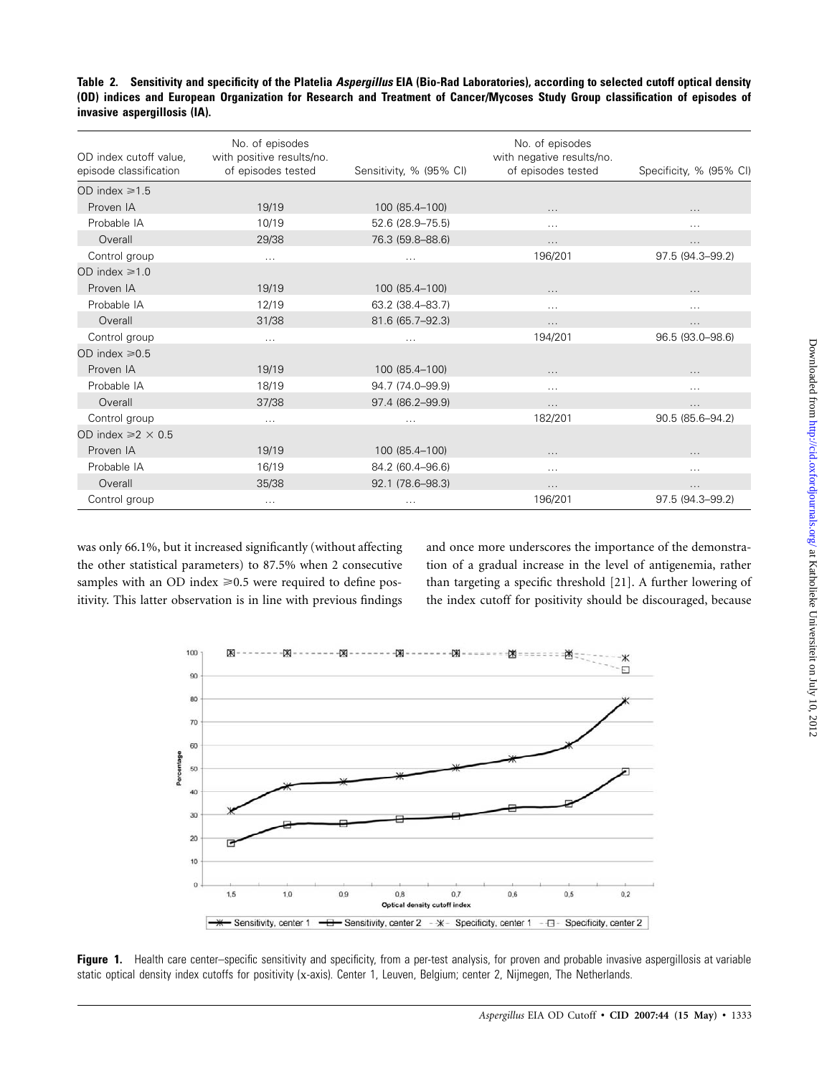| OD index cutoff value,<br>episode classification | No. of episodes<br>with positive results/no.<br>of episodes tested | Sensitivity, % (95% CI) | No. of episodes<br>with negative results/no.<br>of episodes tested | Specificity, % (95% CI) |
|--------------------------------------------------|--------------------------------------------------------------------|-------------------------|--------------------------------------------------------------------|-------------------------|
| OD index $\ge 1.5$                               |                                                                    |                         |                                                                    |                         |
| Proven IA                                        | 19/19                                                              | 100 (85.4-100)          | $\cdots$                                                           | $\cdots$                |
| Probable IA                                      | 10/19                                                              | 52.6 (28.9-75.5)        | $\cdots$                                                           | $\cdots$                |
| Overall                                          | 29/38                                                              | 76.3 (59.8-88.6)        | $\cdots$                                                           | .                       |
| Control group                                    | $\cdots$                                                           | $\cdots$                | 196/201                                                            | 97.5 (94.3-99.2)        |
| OD index $\ge 1.0$                               |                                                                    |                         |                                                                    |                         |
| Proven IA                                        | 19/19                                                              | 100 (85.4-100)          |                                                                    |                         |
| Probable IA                                      | 12/19                                                              | 63.2 (38.4-83.7)        | $\cdots$                                                           | .                       |
| Overall                                          | 31/38                                                              | 81.6 (65.7-92.3)        | $\cdots$                                                           | $\cdots$                |
| Control group                                    | $\cdots$                                                           | $\ldots$                | 194/201                                                            | 96.5 (93.0-98.6)        |
| OD index $\ge 0.5$                               |                                                                    |                         |                                                                    |                         |
| Proven IA                                        | 19/19                                                              | 100 (85.4-100)          | $\cdots$                                                           | $\cdots$                |
| Probable IA                                      | 18/19                                                              | 94.7 (74.0-99.9)        | $\cdots$                                                           | .                       |
| Overall                                          | 37/38                                                              | 97.4 (86.2-99.9)        | $\cdots$                                                           | .                       |
| Control group                                    | $\cdots$                                                           | $\cdots$                | 182/201                                                            | 90.5 (85.6-94.2)        |
| OD index $\ge 2 \times 0.5$                      |                                                                    |                         |                                                                    |                         |
| Proven IA                                        | 19/19                                                              | 100 (85.4-100)          | $\cdots$                                                           | $\cdots$                |
| Probable IA                                      | 16/19                                                              | 84.2 (60.4-96.6)        | $\cdots$                                                           | $\cdots$                |
| Overall                                          | 35/38                                                              | 92.1 (78.6-98.3)        | $\cdots$                                                           | .                       |
| Control group                                    | $\cdots$                                                           | $\cdots$                | 196/201                                                            | 97.5 (94.3-99.2)        |

was only 66.1%, but it increased significantly (without affecting the other statistical parameters) to 87.5% when 2 consecutive samples with an OD index  $\geq 0.5$  were required to define positivity. This latter observation is in line with previous findings

and once more underscores the importance of the demonstration of a gradual increase in the level of antigenemia, rather than targeting a specific threshold [21]. A further lowering of the index cutoff for positivity should be discouraged, because



Figure 1. Health care center–specific sensitivity and specificity, from a per-test analysis, for proven and probable invasive aspergillosis at variable static optical density index cutoffs for positivity (x-axis). Center 1, Leuven, Belgium; center 2, Nijmegen, The Netherlands.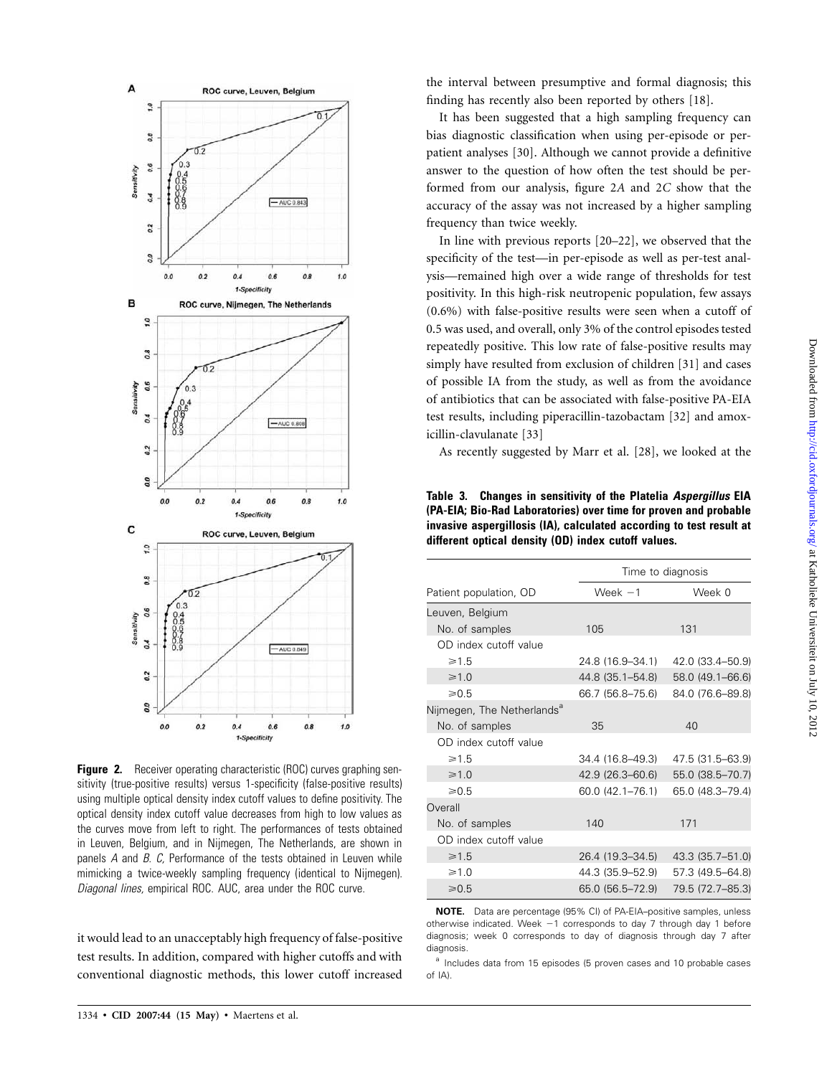

**Figure 2.** Receiver operating characteristic (ROC) curves graphing sensitivity (true-positive results) versus 1-specificity (false-positive results) using multiple optical density index cutoff values to define positivity. The optical density index cutoff value decreases from high to low values as the curves move from left to right. The performances of tests obtained in Leuven, Belgium, and in Nijmegen, The Netherlands, are shown in panels *A* and *B. C,* Performance of the tests obtained in Leuven while mimicking a twice-weekly sampling frequency (identical to Nijmegen). *Diagonal lines,* empirical ROC. AUC, area under the ROC curve.

it would lead to an unacceptably high frequency of false-positive test results. In addition, compared with higher cutoffs and with conventional diagnostic methods, this lower cutoff increased

It has been suggested that a high sampling frequency can bias diagnostic classification when using per-episode or perpatient analyses [30]. Although we cannot provide a definitive answer to the question of how often the test should be performed from our analysis, figure 2*A* and 2*C* show that the accuracy of the assay was not increased by a higher sampling frequency than twice weekly.

In line with previous reports [20–22], we observed that the specificity of the test—in per-episode as well as per-test analysis—remained high over a wide range of thresholds for test positivity. In this high-risk neutropenic population, few assays (0.6%) with false-positive results were seen when a cutoff of 0.5 was used, and overall, only 3% of the control episodes tested repeatedly positive. This low rate of false-positive results may simply have resulted from exclusion of children [31] and cases of possible IA from the study, as well as from the avoidance of antibiotics that can be associated with false-positive PA-EIA test results, including piperacillin-tazobactam [32] and amoxicillin-clavulanate [33]

As recently suggested by Marr et al. [28], we looked at the

**Table 3. Changes in sensitivity of the Platelia** *Aspergillus* **EIA (PA-EIA; Bio-Rad Laboratories) over time for proven and probable invasive aspergillosis (IA), calculated according to test result at different optical density (OD) index cutoff values.**

|                                        | Time to diagnosis |                  |  |
|----------------------------------------|-------------------|------------------|--|
| Patient population, OD                 | Week $-1$         | Week 0           |  |
| Leuven, Belgium                        |                   |                  |  |
| No. of samples                         | 105               | 131              |  |
| OD index cutoff value                  |                   |                  |  |
| $\geq 1.5$                             | 24.8 (16.9–34.1)  | 42.0 (33.4–50.9) |  |
| $\geq 1.0$                             | 44.8 (35.1–54.8)  | 58.0 (49.1-66.6) |  |
| $\ge 0.5$                              | 66.7 (56.8–75.6)  | 84.0 (76.6-89.8) |  |
| Nijmegen, The Netherlands <sup>a</sup> |                   |                  |  |
| No. of samples                         | 35                | 40               |  |
| OD index cutoff value                  |                   |                  |  |
| $\geq 1.5$                             | 34.4 (16.8–49.3)  | 47.5 (31.5-63.9) |  |
| $\geq 1.0$                             | 42.9 (26.3–60.6)  | 55.0 (38.5-70.7) |  |
| $\ge 0.5$                              | 60.0 (42.1–76.1)  | 65.0 (48.3-79.4) |  |
| Overall                                |                   |                  |  |
| No. of samples                         | 140               | 171              |  |
| OD index cutoff value                  |                   |                  |  |
| $\geq 1.5$                             | 26.4 (19.3–34.5)  | 43.3 (35.7-51.0) |  |
| $\geq 1.0$                             | 44.3 (35.9–52.9)  | 57.3 (49.5–64.8) |  |
| $\ge 0.5$                              | 65.0 (56.5–72.9)  | 79.5 (72.7-85.3) |  |

**NOTE.** Data are percentage (95% CI) of PA-EIA–positive samples, unless otherwise indicated. Week -1 corresponds to day 7 through day 1 before diagnosis; week 0 corresponds to day of diagnosis through day 7 after diagnosis.

<sup>a</sup> Includes data from 15 episodes (5 proven cases and 10 probable cases of IA).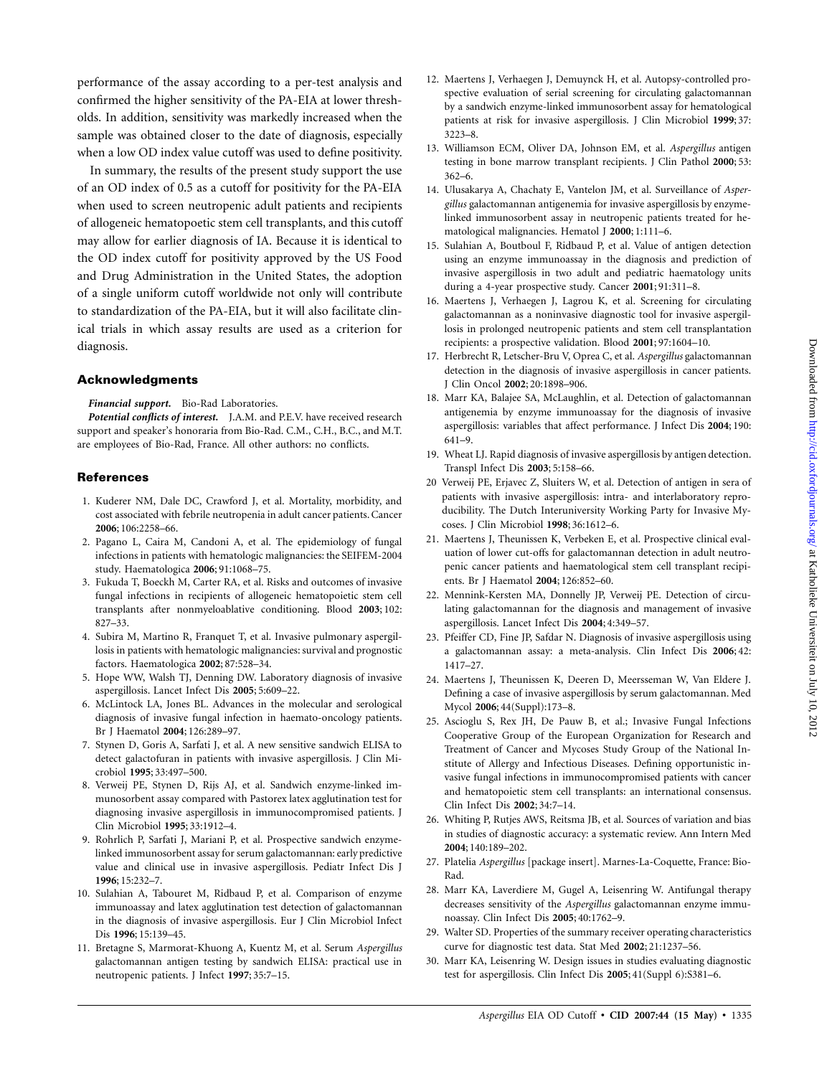performance of the assay according to a per-test analysis and confirmed the higher sensitivity of the PA-EIA at lower thresholds. In addition, sensitivity was markedly increased when the sample was obtained closer to the date of diagnosis, especially when a low OD index value cutoff was used to define positivity.

In summary, the results of the present study support the use of an OD index of 0.5 as a cutoff for positivity for the PA-EIA when used to screen neutropenic adult patients and recipients of allogeneic hematopoetic stem cell transplants, and this cutoff may allow for earlier diagnosis of IA. Because it is identical to the OD index cutoff for positivity approved by the US Food and Drug Administration in the United States, the adoption of a single uniform cutoff worldwide not only will contribute to standardization of the PA-EIA, but it will also facilitate clinical trials in which assay results are used as a criterion for diagnosis.

### **Acknowledgments**

*Financial support.* Bio-Rad Laboratories.

*Potential conflicts of interest.* J.A.M. and P.E.V. have received research support and speaker's honoraria from Bio-Rad. C.M., C.H., B.C., and M.T. are employees of Bio-Rad, France. All other authors: no conflicts.

## **References**

- 1. Kuderer NM, Dale DC, Crawford J, et al. Mortality, morbidity, and cost associated with febrile neutropenia in adult cancer patients. Cancer **2006**; 106:2258–66.
- 2. Pagano L, Caira M, Candoni A, et al. The epidemiology of fungal infections in patients with hematologic malignancies: the SEIFEM-2004 study. Haematologica **2006**; 91:1068–75.
- 3. Fukuda T, Boeckh M, Carter RA, et al. Risks and outcomes of invasive fungal infections in recipients of allogeneic hematopoietic stem cell transplants after nonmyeloablative conditioning. Blood **2003**; 102: 827–33.
- 4. Subira M, Martino R, Franquet T, et al. Invasive pulmonary aspergillosis in patients with hematologic malignancies: survival and prognostic factors. Haematologica **2002**; 87:528–34.
- 5. Hope WW, Walsh TJ, Denning DW. Laboratory diagnosis of invasive aspergillosis. Lancet Infect Dis **2005**; 5:609–22.
- 6. McLintock LA, Jones BL. Advances in the molecular and serological diagnosis of invasive fungal infection in haemato-oncology patients. Br J Haematol **2004**; 126:289–97.
- 7. Stynen D, Goris A, Sarfati J, et al. A new sensitive sandwich ELISA to detect galactofuran in patients with invasive aspergillosis. J Clin Microbiol **1995**; 33:497–500.
- 8. Verweij PE, Stynen D, Rijs AJ, et al. Sandwich enzyme-linked immunosorbent assay compared with Pastorex latex agglutination test for diagnosing invasive aspergillosis in immunocompromised patients. J Clin Microbiol **1995**; 33:1912–4.
- 9. Rohrlich P, Sarfati J, Mariani P, et al. Prospective sandwich enzymelinked immunosorbent assay for serum galactomannan: early predictive value and clinical use in invasive aspergillosis. Pediatr Infect Dis J **1996**; 15:232–7.
- 10. Sulahian A, Tabouret M, Ridbaud P, et al. Comparison of enzyme immunoassay and latex agglutination test detection of galactomannan in the diagnosis of invasive aspergillosis. Eur J Clin Microbiol Infect Dis **1996**; 15:139–45.
- 11. Bretagne S, Marmorat-Khuong A, Kuentz M, et al. Serum *Aspergillus* galactomannan antigen testing by sandwich ELISA: practical use in neutropenic patients. J Infect **1997**; 35:7–15.
- 12. Maertens J, Verhaegen J, Demuynck H, et al. Autopsy-controlled prospective evaluation of serial screening for circulating galactomannan by a sandwich enzyme-linked immunosorbent assay for hematological patients at risk for invasive aspergillosis. J Clin Microbiol **1999**; 37: 3223–8.
- 13. Williamson ECM, Oliver DA, Johnson EM, et al. *Aspergillus* antigen testing in bone marrow transplant recipients. J Clin Pathol **2000**; 53: 362–6.
- 14. Ulusakarya A, Chachaty E, Vantelon JM, et al. Surveillance of *Aspergillus* galactomannan antigenemia for invasive aspergillosis by enzymelinked immunosorbent assay in neutropenic patients treated for hematological malignancies. Hematol J **2000**; 1:111–6.
- 15. Sulahian A, Boutboul F, Ridbaud P, et al. Value of antigen detection using an enzyme immunoassay in the diagnosis and prediction of invasive aspergillosis in two adult and pediatric haematology units during a 4-year prospective study. Cancer **2001**; 91:311–8.
- 16. Maertens J, Verhaegen J, Lagrou K, et al. Screening for circulating galactomannan as a noninvasive diagnostic tool for invasive aspergillosis in prolonged neutropenic patients and stem cell transplantation recipients: a prospective validation. Blood **2001**; 97:1604–10.
- 17. Herbrecht R, Letscher-Bru V, Oprea C, et al. *Aspergillus* galactomannan detection in the diagnosis of invasive aspergillosis in cancer patients. J Clin Oncol **2002**; 20:1898–906.
- 18. Marr KA, Balajee SA, McLaughlin, et al. Detection of galactomannan antigenemia by enzyme immunoassay for the diagnosis of invasive aspergillosis: variables that affect performance. J Infect Dis **2004**; 190: 641–9.
- 19. Wheat LJ. Rapid diagnosis of invasive aspergillosis by antigen detection. Transpl Infect Dis **2003**; 5:158–66.
- 20 Verweij PE, Erjavec Z, Sluiters W, et al. Detection of antigen in sera of patients with invasive aspergillosis: intra- and interlaboratory reproducibility. The Dutch Interuniversity Working Party for Invasive Mycoses. J Clin Microbiol **1998**; 36:1612–6.
- 21. Maertens J, Theunissen K, Verbeken E, et al. Prospective clinical evaluation of lower cut-offs for galactomannan detection in adult neutropenic cancer patients and haematological stem cell transplant recipients. Br J Haematol **2004**; 126:852–60.
- 22. Mennink-Kersten MA, Donnelly JP, Verweij PE. Detection of circulating galactomannan for the diagnosis and management of invasive aspergillosis. Lancet Infect Dis **2004**; 4:349–57.
- 23. Pfeiffer CD, Fine JP, Safdar N. Diagnosis of invasive aspergillosis using a galactomannan assay: a meta-analysis. Clin Infect Dis **2006**; 42: 1417–27.
- 24. Maertens J, Theunissen K, Deeren D, Meersseman W, Van Eldere J. Defining a case of invasive aspergillosis by serum galactomannan. Med Mycol **2006**; 44(Suppl):173–8.
- 25. Ascioglu S, Rex JH, De Pauw B, et al.; Invasive Fungal Infections Cooperative Group of the European Organization for Research and Treatment of Cancer and Mycoses Study Group of the National Institute of Allergy and Infectious Diseases. Defining opportunistic invasive fungal infections in immunocompromised patients with cancer and hematopoietic stem cell transplants: an international consensus. Clin Infect Dis **2002**; 34:7–14.
- 26. Whiting P, Rutjes AWS, Reitsma JB, et al. Sources of variation and bias in studies of diagnostic accuracy: a systematic review. Ann Intern Med **2004**; 140:189–202.
- 27. Platelia *Aspergillus* [package insert]. Marnes-La-Coquette, France: Bio-Rad.
- 28. Marr KA, Laverdiere M, Gugel A, Leisenring W. Antifungal therapy decreases sensitivity of the *Aspergillus* galactomannan enzyme immunoassay. Clin Infect Dis **2005**; 40:1762–9.
- 29. Walter SD. Properties of the summary receiver operating characteristics curve for diagnostic test data. Stat Med **2002**; 21:1237–56.
- 30. Marr KA, Leisenring W. Design issues in studies evaluating diagnostic test for aspergillosis. Clin Infect Dis **2005**; 41(Suppl 6):S381–6.